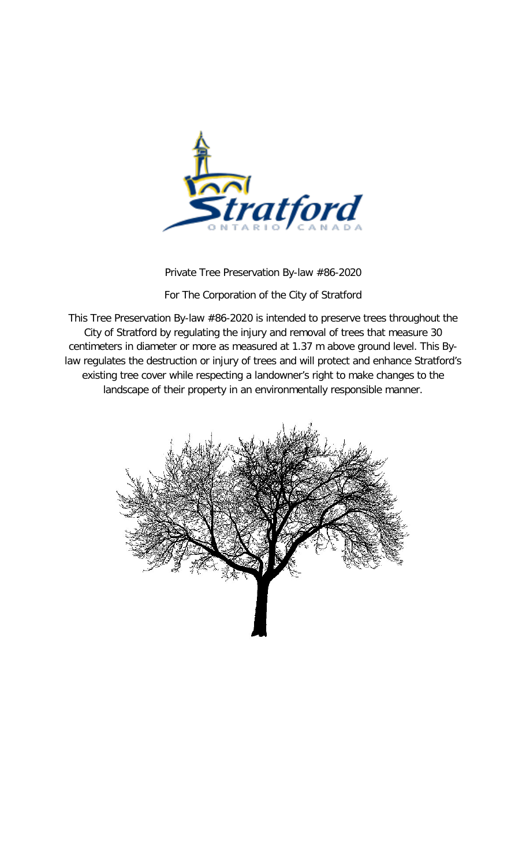

Private Tree Preservation By-law #86-2020

For The Corporation of the City of Stratford

This Tree Preservation By-law #86-2020 is intended to preserve trees throughout the City of Stratford by regulating the injury and removal of trees that measure 30 centimeters in diameter or more as measured at 1.37 m above ground level. This Bylaw regulates the destruction or injury of trees and will protect and enhance Stratford's existing tree cover while respecting a landowner's right to make changes to the landscape of their property in an environmentally responsible manner.

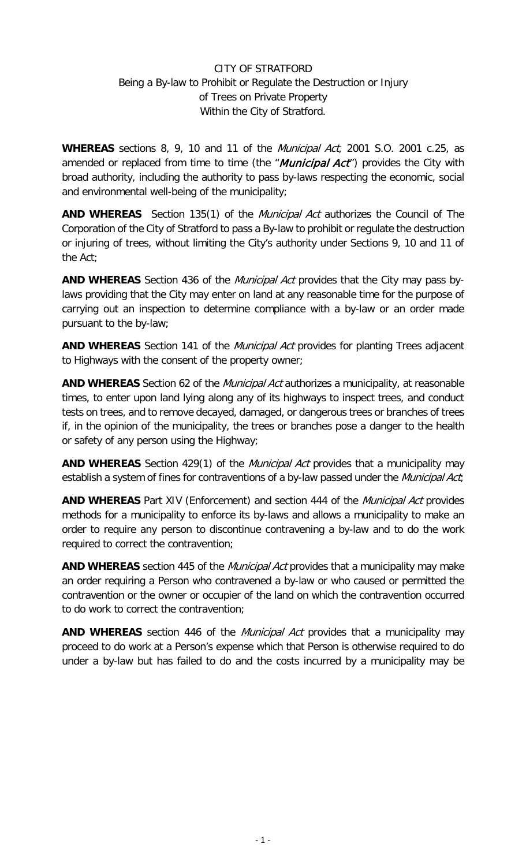### CITY OF STRATFORD Being a By-law to Prohibit or Regulate the Destruction or Injury of Trees on Private Property Within the City of Stratford.

**WHEREAS** sections 8, 9, 10 and 11 of the Municipal Act, 2001 S.O. 2001 c.25, as amended or replaced from time to time (the "*Municipal Act*") provides the City with broad authority, including the authority to pass by-laws respecting the economic, social and environmental well-being of the municipality;

**AND WHEREAS** Section 135(1) of the Municipal Act authorizes the Council of The Corporation of the City of Stratford to pass a By-law to prohibit or regulate the destruction or injuring of trees, without limiting the City's authority under Sections 9, 10 and 11 of the Act;

**AND WHEREAS** Section 436 of the Municipal Act provides that the City may pass bylaws providing that the City may enter on land at any reasonable time for the purpose of carrying out an inspection to determine compliance with a by-law or an order made pursuant to the by-law;

**AND WHEREAS** Section 141 of the Municipal Act provides for planting Trees adjacent to Highways with the consent of the property owner;

**AND WHEREAS** Section 62 of the Municipal Act authorizes a municipality, at reasonable times, to enter upon land lying along any of its highways to inspect trees, and conduct tests on trees, and to remove decayed, damaged, or dangerous trees or branches of trees if, in the opinion of the municipality, the trees or branches pose a danger to the health or safety of any person using the Highway;

**AND WHEREAS** Section 429(1) of the Municipal Act provides that a municipality may establish a system of fines for contraventions of a by-law passed under the Municipal Act;

**AND WHEREAS** Part XIV (Enforcement) and section 444 of the Municipal Act provides methods for a municipality to enforce its by-laws and allows a municipality to make an order to require any person to discontinue contravening a by-law and to do the work required to correct the contravention;

**AND WHEREAS** section 445 of the Municipal Act provides that a municipality may make an order requiring a Person who contravened a by-law or who caused or permitted the contravention or the owner or occupier of the land on which the contravention occurred to do work to correct the contravention;

**AND WHEREAS** section 446 of the Municipal Act provides that a municipality may proceed to do work at a Person's expense which that Person is otherwise required to do under a by-law but has failed to do and the costs incurred by a municipality may be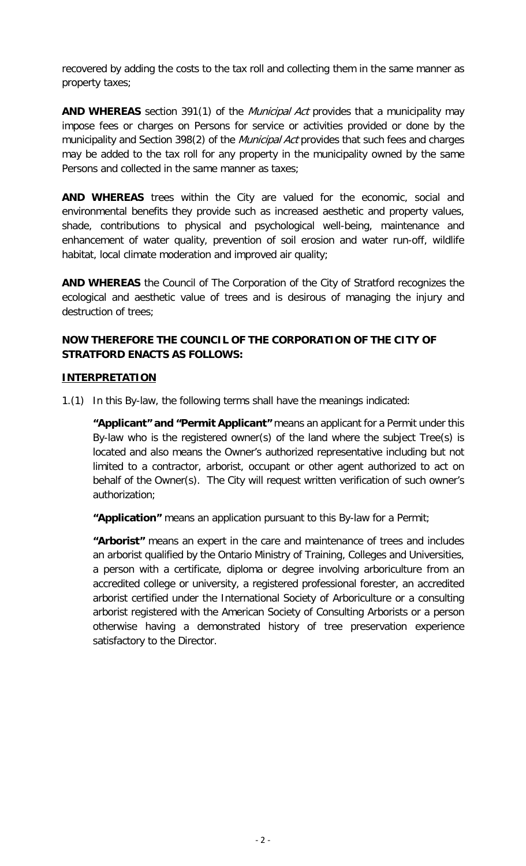recovered by adding the costs to the tax roll and collecting them in the same manner as property taxes;

AND WHEREAS section 391(1) of the *Municipal Act* provides that a municipality may impose fees or charges on Persons for service or activities provided or done by the municipality and Section 398(2) of the *Municipal Act* provides that such fees and charges may be added to the tax roll for any property in the municipality owned by the same Persons and collected in the same manner as taxes;

**AND WHEREAS** trees within the City are valued for the economic, social and environmental benefits they provide such as increased aesthetic and property values, shade, contributions to physical and psychological well-being, maintenance and enhancement of water quality, prevention of soil erosion and water run-off, wildlife habitat, local climate moderation and improved air quality;

**AND WHEREAS** the Council of The Corporation of the City of Stratford recognizes the ecological and aesthetic value of trees and is desirous of managing the injury and destruction of trees;

### **NOW THEREFORE THE COUNCIL OF THE CORPORATION OF THE CITY OF STRATFORD ENACTS AS FOLLOWS:**

#### **INTERPRETATION**

1.(1) In this By-law, the following terms shall have the meanings indicated:

**"Applicant" and "Permit Applicant"** means an applicant for a Permit under this By-law who is the registered owner(s) of the land where the subject Tree(s) is located and also means the Owner's authorized representative including but not limited to a contractor, arborist, occupant or other agent authorized to act on behalf of the Owner(s). The City will request written verification of such owner's authorization;

**"Application"** means an application pursuant to this By-law for a Permit;

**"Arborist"** means an expert in the care and maintenance of trees and includes an arborist qualified by the Ontario Ministry of Training, Colleges and Universities, a person with a certificate, diploma or degree involving arboriculture from an accredited college or university, a registered professional forester, an accredited arborist certified under the International Society of Arboriculture or a consulting arborist registered with the American Society of Consulting Arborists or a person otherwise having a demonstrated history of tree preservation experience satisfactory to the Director.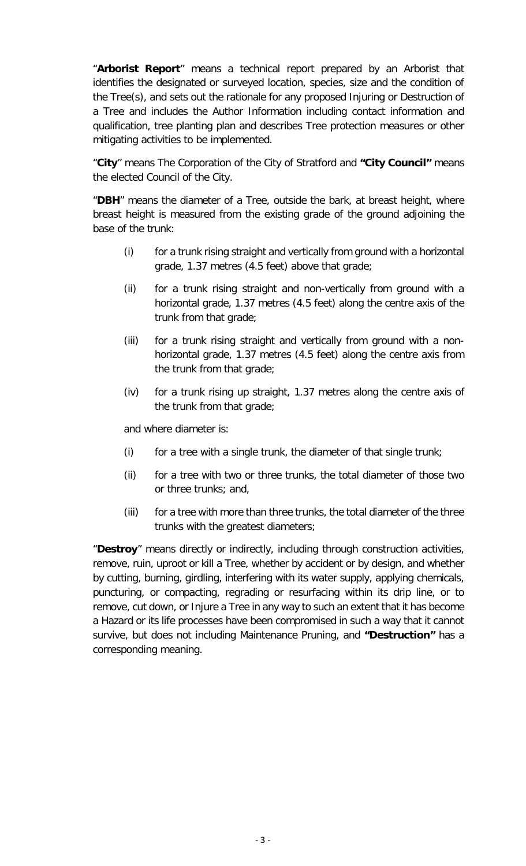"**Arborist Report**" means a technical report prepared by an Arborist that identifies the designated or surveyed location, species, size and the condition of the Tree(s), and sets out the rationale for any proposed Injuring or Destruction of a Tree and includes the Author Information including contact information and qualification, tree planting plan and describes Tree protection measures or other mitigating activities to be implemented.

"**City**" means The Corporation of the City of Stratford and **"City Council"** means the elected Council of the City.

"**DBH**" means the diameter of a Tree, outside the bark, at breast height, where breast height is measured from the existing grade of the ground adjoining the base of the trunk:

- (i) for a trunk rising straight and vertically from ground with a horizontal grade, 1.37 metres (4.5 feet) above that grade;
- (ii) for a trunk rising straight and non-vertically from ground with a horizontal grade, 1.37 metres (4.5 feet) along the centre axis of the trunk from that grade;
- (iii) for a trunk rising straight and vertically from ground with a nonhorizontal grade, 1.37 metres (4.5 feet) along the centre axis from the trunk from that grade;
- (iv) for a trunk rising up straight, 1.37 metres along the centre axis of the trunk from that grade;

and where diameter is:

- (i) for a tree with a single trunk, the diameter of that single trunk;
- (ii) for a tree with two or three trunks, the total diameter of those two or three trunks; and,
- (iii) for a tree with more than three trunks, the total diameter of the three trunks with the greatest diameters;

"**Destroy**" means directly or indirectly, including through construction activities, remove, ruin, uproot or kill a Tree, whether by accident or by design, and whether by cutting, burning, girdling, interfering with its water supply, applying chemicals, puncturing, or compacting, regrading or resurfacing within its drip line, or to remove, cut down, or Injure a Tree in any way to such an extent that it has become a Hazard or its life processes have been compromised in such a way that it cannot survive, but does not including Maintenance Pruning, and **"Destruction"** has a corresponding meaning.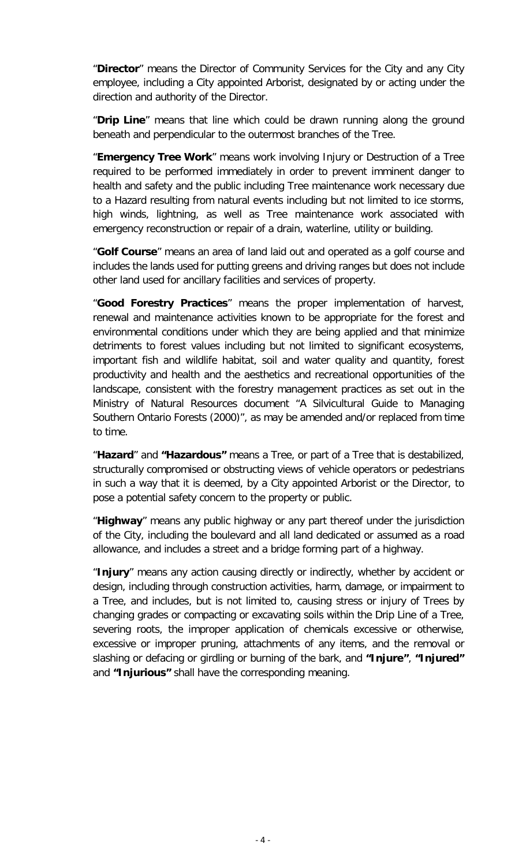"**Director**" means the Director of Community Services for the City and any City employee, including a City appointed Arborist, designated by or acting under the direction and authority of the Director.

"**Drip Line**" means that line which could be drawn running along the ground beneath and perpendicular to the outermost branches of the Tree.

"**Emergency Tree Work**" means work involving Injury or Destruction of a Tree required to be performed immediately in order to prevent imminent danger to health and safety and the public including Tree maintenance work necessary due to a Hazard resulting from natural events including but not limited to ice storms, high winds, lightning, as well as Tree maintenance work associated with emergency reconstruction or repair of a drain, waterline, utility or building.

"**Golf Course**" means an area of land laid out and operated as a golf course and includes the lands used for putting greens and driving ranges but does not include other land used for ancillary facilities and services of property.

"**Good Forestry Practices**" means the proper implementation of harvest, renewal and maintenance activities known to be appropriate for the forest and environmental conditions under which they are being applied and that minimize detriments to forest values including but not limited to significant ecosystems, important fish and wildlife habitat, soil and water quality and quantity, forest productivity and health and the aesthetics and recreational opportunities of the landscape, consistent with the forestry management practices as set out in the Ministry of Natural Resources document "A Silvicultural Guide to Managing Southern Ontario Forests (2000)", as may be amended and/or replaced from time to time.

"**Hazard**" and **"Hazardous"** means a Tree, or part of a Tree that is destabilized, structurally compromised or obstructing views of vehicle operators or pedestrians in such a way that it is deemed, by a City appointed Arborist or the Director, to pose a potential safety concern to the property or public.

"**Highway**" means any public highway or any part thereof under the jurisdiction of the City, including the boulevard and all land dedicated or assumed as a road allowance, and includes a street and a bridge forming part of a highway.

"**Injury**" means any action causing directly or indirectly, whether by accident or design, including through construction activities, harm, damage, or impairment to a Tree, and includes, but is not limited to, causing stress or injury of Trees by changing grades or compacting or excavating soils within the Drip Line of a Tree, severing roots, the improper application of chemicals excessive or otherwise, excessive or improper pruning, attachments of any items, and the removal or slashing or defacing or girdling or burning of the bark, and **"Injure"**, **"Injured"**  and **"Injurious"** shall have the corresponding meaning.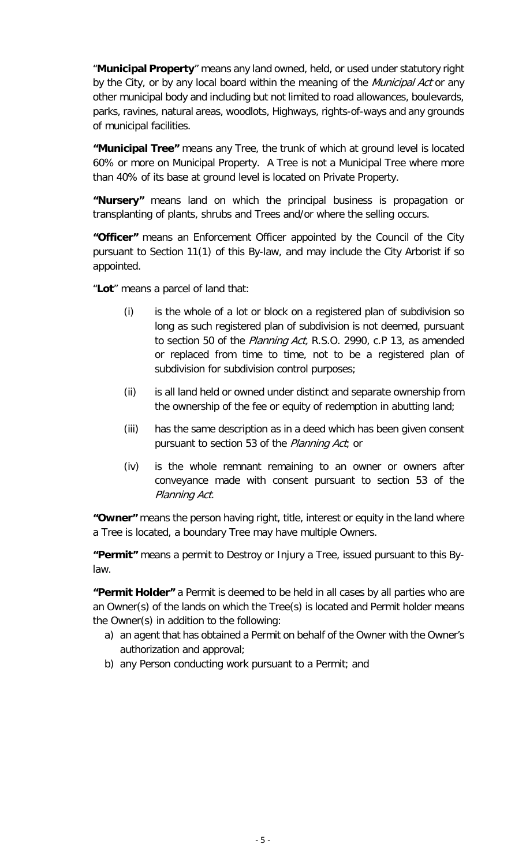"**Municipal Property**" means any land owned, held, or used under statutory right by the City, or by any local board within the meaning of the Municipal Act or any other municipal body and including but not limited to road allowances, boulevards, parks, ravines, natural areas, woodlots, Highways, rights-of-ways and any grounds of municipal facilities.

**"Municipal Tree"** means any Tree, the trunk of which at ground level is located 60% or more on Municipal Property. A Tree is not a Municipal Tree where more than 40% of its base at ground level is located on Private Property.

**"Nursery"** means land on which the principal business is propagation or transplanting of plants, shrubs and Trees and/or where the selling occurs.

**"Officer"** means an Enforcement Officer appointed by the Council of the City pursuant to Section 11(1) of this By-law, and may include the City Arborist if so appointed.

"**Lot**" means a parcel of land that:

- (i) is the whole of a lot or block on a registered plan of subdivision so long as such registered plan of subdivision is not deemed, pursuant to section 50 of the *Planning Act*, R.S.O. 2990, c.P 13, as amended or replaced from time to time, not to be a registered plan of subdivision for subdivision control purposes;
- (ii) is all land held or owned under distinct and separate ownership from the ownership of the fee or equity of redemption in abutting land;
- (iii) has the same description as in a deed which has been given consent pursuant to section 53 of the Planning Act; or
- (iv) is the whole remnant remaining to an owner or owners after conveyance made with consent pursuant to section 53 of the Planning Act.

**"Owner"** means the person having right, title, interest or equity in the land where a Tree is located, a boundary Tree may have multiple Owners.

**"Permit"** means a permit to Destroy or Injury a Tree, issued pursuant to this Bylaw.

**"Permit Holder"** a Permit is deemed to be held in all cases by all parties who are an Owner(s) of the lands on which the Tree(s) is located and Permit holder means the Owner(s) in addition to the following:

- a) an agent that has obtained a Permit on behalf of the Owner with the Owner's authorization and approval;
- b) any Person conducting work pursuant to a Permit; and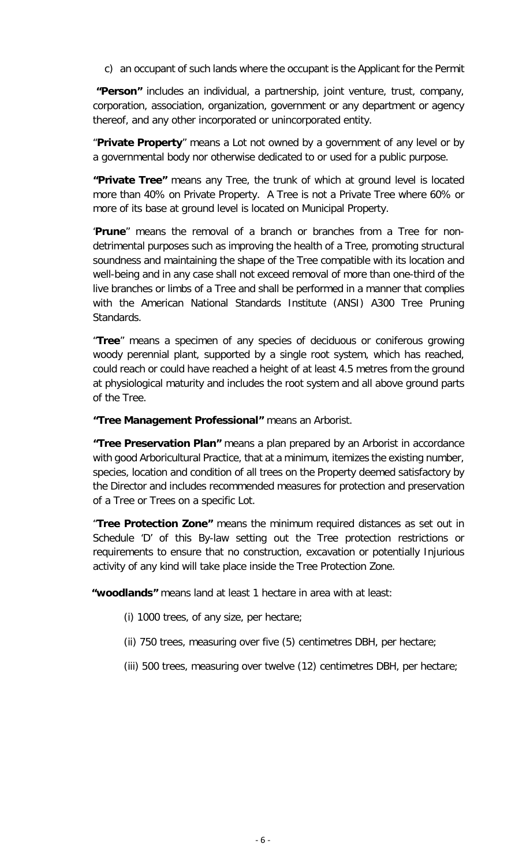c) an occupant of such lands where the occupant is the Applicant for the Permit

**"Person"** includes an individual, a partnership, joint venture, trust, company, corporation, association, organization, government or any department or agency thereof, and any other incorporated or unincorporated entity.

"**Private Property**" means a Lot not owned by a government of any level or by a governmental body nor otherwise dedicated to or used for a public purpose.

**"Private Tree"** means any Tree, the trunk of which at ground level is located more than 40% on Private Property. A Tree is not a Private Tree where 60% or more of its base at ground level is located on Municipal Property.

'**Prune**" means the removal of a branch or branches from a Tree for nondetrimental purposes such as improving the health of a Tree, promoting structural soundness and maintaining the shape of the Tree compatible with its location and well-being and in any case shall not exceed removal of more than one-third of the live branches or limbs of a Tree and shall be performed in a manner that complies with the American National Standards Institute (ANSI) A300 Tree Pruning Standards.

"**Tree**" means a specimen of any species of deciduous or coniferous growing woody perennial plant, supported by a single root system, which has reached, could reach or could have reached a height of at least 4.5 metres from the ground at physiological maturity and includes the root system and all above ground parts of the Tree.

**"Tree Management Professional"** means an Arborist.

**"Tree Preservation Plan"** means a plan prepared by an Arborist in accordance with good Arboricultural Practice, that at a minimum, itemizes the existing number, species, location and condition of all trees on the Property deemed satisfactory by the Director and includes recommended measures for protection and preservation of a Tree or Trees on a specific Lot.

"**Tree Protection Zone"** means the minimum required distances as set out in Schedule 'D' of this By-law setting out the Tree protection restrictions or requirements to ensure that no construction, excavation or potentially Injurious activity of any kind will take place inside the Tree Protection Zone.

**"woodlands"** means land at least 1 hectare in area with at least:

- (i) 1000 trees, of any size, per hectare;
- (ii) 750 trees, measuring over five (5) centimetres DBH, per hectare;
- (iii) 500 trees, measuring over twelve (12) centimetres DBH, per hectare;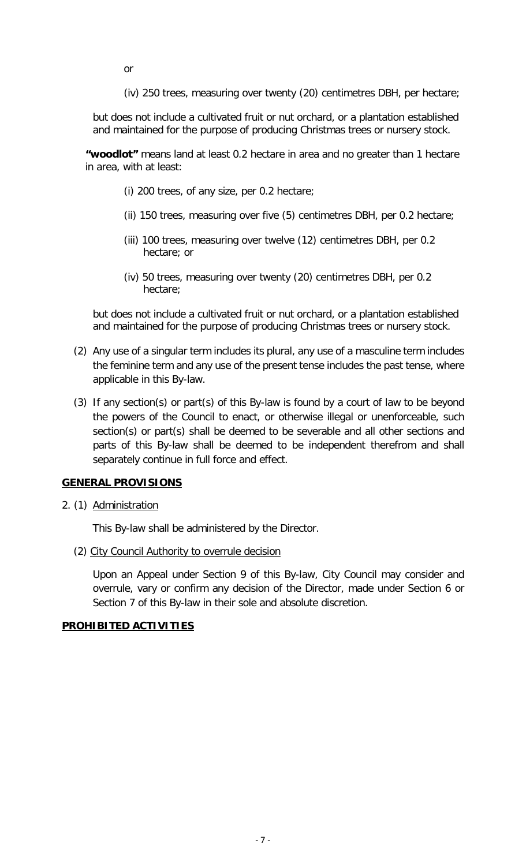or

(iv) 250 trees, measuring over twenty (20) centimetres DBH, per hectare;

but does not include a cultivated fruit or nut orchard, or a plantation established and maintained for the purpose of producing Christmas trees or nursery stock.

**"woodlot"** means land at least 0.2 hectare in area and no greater than 1 hectare in area, with at least:

- (i) 200 trees, of any size, per 0.2 hectare;
- (ii) 150 trees, measuring over five (5) centimetres DBH, per 0.2 hectare;
- (iii) 100 trees, measuring over twelve (12) centimetres DBH, per 0.2 hectare; or
- (iv) 50 trees, measuring over twenty (20) centimetres DBH, per 0.2 hectare;

but does not include a cultivated fruit or nut orchard, or a plantation established and maintained for the purpose of producing Christmas trees or nursery stock.

- (2) Any use of a singular term includes its plural, any use of a masculine term includes the feminine term and any use of the present tense includes the past tense, where applicable in this By-law.
- (3) If any section(s) or part(s) of this By-law is found by a court of law to be beyond the powers of the Council to enact, or otherwise illegal or unenforceable, such section(s) or part(s) shall be deemed to be severable and all other sections and parts of this By-law shall be deemed to be independent therefrom and shall separately continue in full force and effect.

#### **GENERAL PROVISIONS**

2. (1) Administration

This By-law shall be administered by the Director.

(2) City Council Authority to overrule decision

Upon an Appeal under Section 9 of this By-law, City Council may consider and overrule, vary or confirm any decision of the Director, made under Section 6 or Section 7 of this By-law in their sole and absolute discretion.

#### **PROHIBITED ACTIVITIES**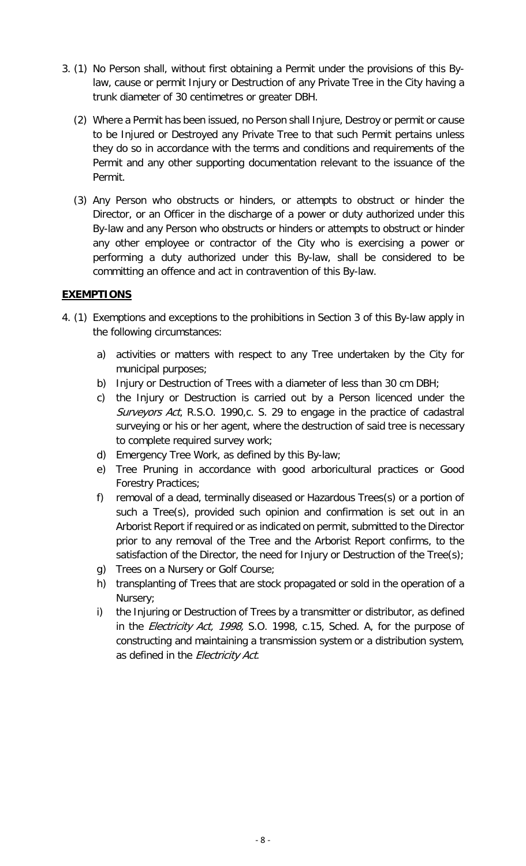- 3. (1) No Person shall, without first obtaining a Permit under the provisions of this Bylaw, cause or permit Injury or Destruction of any Private Tree in the City having a trunk diameter of 30 centimetres or greater DBH.
	- (2) Where a Permit has been issued, no Person shall Injure, Destroy or permit or cause to be Injured or Destroyed any Private Tree to that such Permit pertains unless they do so in accordance with the terms and conditions and requirements of the Permit and any other supporting documentation relevant to the issuance of the Permit.
	- (3) Any Person who obstructs or hinders, or attempts to obstruct or hinder the Director, or an Officer in the discharge of a power or duty authorized under this By-law and any Person who obstructs or hinders or attempts to obstruct or hinder any other employee or contractor of the City who is exercising a power or performing a duty authorized under this By-law, shall be considered to be committing an offence and act in contravention of this By-law.

#### **EXEMPTIONS**

- 4. (1) Exemptions and exceptions to the prohibitions in Section 3 of this By-law apply in the following circumstances:
	- a) activities or matters with respect to any Tree undertaken by the City for municipal purposes;
	- b) Injury or Destruction of Trees with a diameter of less than 30 cm DBH;
	- c) the Injury or Destruction is carried out by a Person licenced under the Surveyors Act, R.S.O. 1990, c. S. 29 to engage in the practice of cadastral surveying or his or her agent, where the destruction of said tree is necessary to complete required survey work;
	- d) Emergency Tree Work, as defined by this By-law;
	- e) Tree Pruning in accordance with good arboricultural practices or Good Forestry Practices;
	- f) removal of a dead, terminally diseased or Hazardous Trees(s) or a portion of such a Tree(s), provided such opinion and confirmation is set out in an Arborist Report if required or as indicated on permit, submitted to the Director prior to any removal of the Tree and the Arborist Report confirms, to the satisfaction of the Director, the need for Injury or Destruction of the Tree(s);
	- g) Trees on a Nursery or Golf Course;
	- h) transplanting of Trees that are stock propagated or sold in the operation of a Nursery;
	- i) the Injuring or Destruction of Trees by a transmitter or distributor, as defined in the *Electricity Act, 1998,* S.O. 1998, c.15, Sched. A, for the purpose of constructing and maintaining a transmission system or a distribution system, as defined in the Electricity Act.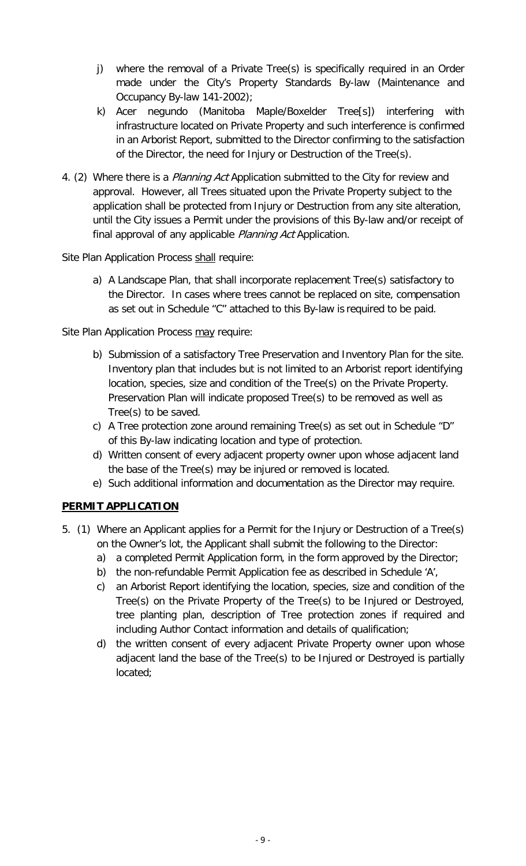- j) where the removal of a Private Tree(s) is specifically required in an Order made under the City's Property Standards By-law (Maintenance and Occupancy By-law 141-2002);
- k) Acer negundo (Manitoba Maple/Boxelder Tree[s]) interfering with infrastructure located on Private Property and such interference is confirmed in an Arborist Report, submitted to the Director confirming to the satisfaction of the Director, the need for Injury or Destruction of the Tree(s).
- 4. (2) Where there is a *Planning Act* Application submitted to the City for review and approval. However, all Trees situated upon the Private Property subject to the application shall be protected from Injury or Destruction from any site alteration, until the City issues a Permit under the provisions of this By-law and/or receipt of final approval of any applicable *Planning Act* Application.

Site Plan Application Process shall require:

a) A Landscape Plan, that shall incorporate replacement Tree(s) satisfactory to the Director. In cases where trees cannot be replaced on site, compensation as set out in Schedule "C" attached to this By-law is required to be paid.

Site Plan Application Process may require:

- b) Submission of a satisfactory Tree Preservation and Inventory Plan for the site. Inventory plan that includes but is not limited to an Arborist report identifying location, species, size and condition of the Tree(s) on the Private Property. Preservation Plan will indicate proposed Tree(s) to be removed as well as Tree(s) to be saved.
- c) A Tree protection zone around remaining Tree(s) as set out in Schedule "D" of this By-law indicating location and type of protection.
- d) Written consent of every adjacent property owner upon whose adjacent land the base of the Tree(s) may be injured or removed is located.
- e) Such additional information and documentation as the Director may require.

#### **PERMIT APPLICATION**

- 5. (1) Where an Applicant applies for a Permit for the Injury or Destruction of a Tree(s) on the Owner's lot, the Applicant shall submit the following to the Director:
	- a) a completed Permit Application form, in the form approved by the Director;
	- b) the non-refundable Permit Application fee as described in Schedule 'A',
	- c) an Arborist Report identifying the location, species, size and condition of the Tree(s) on the Private Property of the Tree(s) to be Injured or Destroyed, tree planting plan, description of Tree protection zones if required and including Author Contact information and details of qualification;
	- d) the written consent of every adjacent Private Property owner upon whose adjacent land the base of the Tree(s) to be Injured or Destroyed is partially located;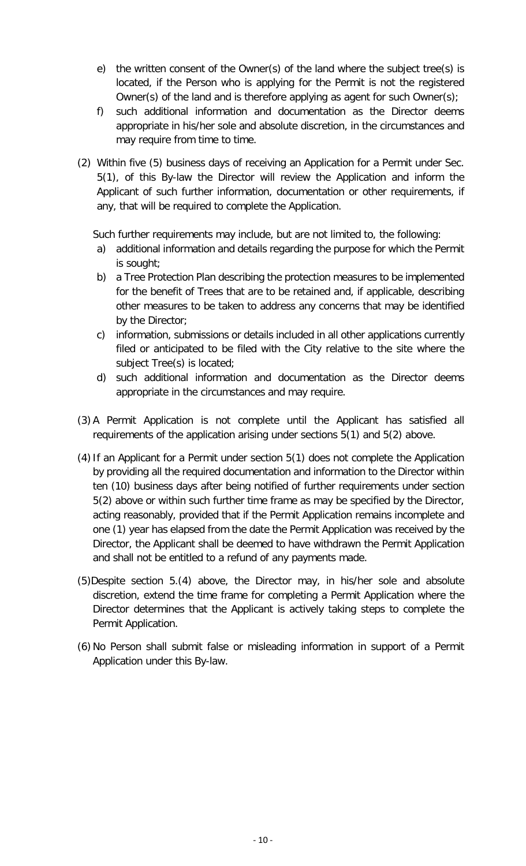- e) the written consent of the Owner(s) of the land where the subject tree(s) is located, if the Person who is applying for the Permit is not the registered Owner(s) of the land and is therefore applying as agent for such Owner(s);
- f) such additional information and documentation as the Director deems appropriate in his/her sole and absolute discretion, in the circumstances and may require from time to time.
- (2) Within five (5) business days of receiving an Application for a Permit under Sec. 5(1), of this By-law the Director will review the Application and inform the Applicant of such further information, documentation or other requirements, if any, that will be required to complete the Application.

Such further requirements may include, but are not limited to, the following:

- a) additional information and details regarding the purpose for which the Permit is sought;
- b) a Tree Protection Plan describing the protection measures to be implemented for the benefit of Trees that are to be retained and, if applicable, describing other measures to be taken to address any concerns that may be identified by the Director;
- c) information, submissions or details included in all other applications currently filed or anticipated to be filed with the City relative to the site where the subject Tree(s) is located;
- d) such additional information and documentation as the Director deems appropriate in the circumstances and may require.
- (3) A Permit Application is not complete until the Applicant has satisfied all requirements of the application arising under sections 5(1) and 5(2) above.
- $(4)$  If an Applicant for a Permit under section  $5(1)$  does not complete the Application by providing all the required documentation and information to the Director within ten (10) business days after being notified of further requirements under section 5(2) above or within such further time frame as may be specified by the Director, acting reasonably, provided that if the Permit Application remains incomplete and one (1) year has elapsed from the date the Permit Application was received by the Director, the Applicant shall be deemed to have withdrawn the Permit Application and shall not be entitled to a refund of any payments made.
- (5)Despite section 5.(4) above, the Director may, in his/her sole and absolute discretion, extend the time frame for completing a Permit Application where the Director determines that the Applicant is actively taking steps to complete the Permit Application.
- (6) No Person shall submit false or misleading information in support of a Permit Application under this By-law.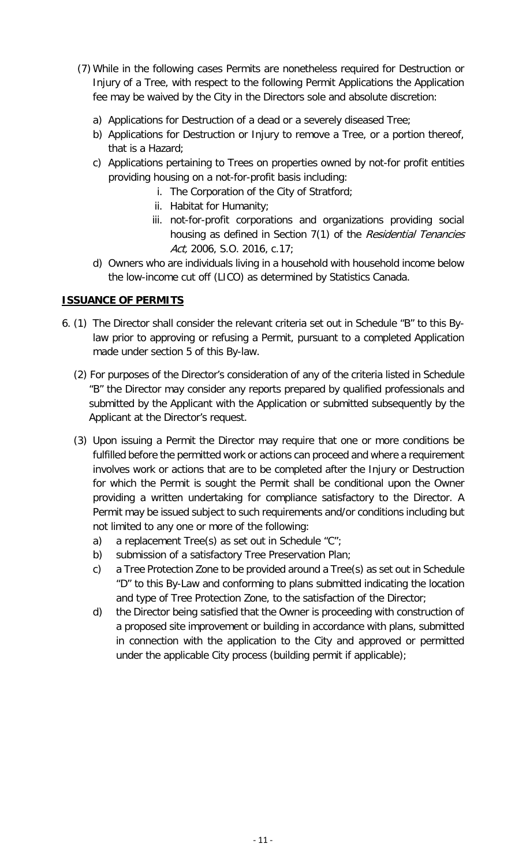- (7) While in the following cases Permits are nonetheless required for Destruction or Injury of a Tree, with respect to the following Permit Applications the Application fee may be waived by the City in the Directors sole and absolute discretion:
	- a) Applications for Destruction of a dead or a severely diseased Tree;
	- b) Applications for Destruction or Injury to remove a Tree, or a portion thereof, that is a Hazard;
	- c) Applications pertaining to Trees on properties owned by not-for profit entities providing housing on a not-for-profit basis including:
		- i. The Corporation of the City of Stratford;
		- ii. Habitat for Humanity;
		- iii. not-for-profit corporations and organizations providing social housing as defined in Section 7(1) of the Residential Tenancies Act, 2006, S.O. 2016, c.17;
	- d) Owners who are individuals living in a household with household income below the low-income cut off (LICO) as determined by Statistics Canada.

#### **ISSUANCE OF PERMITS**

- 6. (1) The Director shall consider the relevant criteria set out in Schedule "B" to this Bylaw prior to approving or refusing a Permit, pursuant to a completed Application made under section 5 of this By-law.
	- (2) For purposes of the Director's consideration of any of the criteria listed in Schedule "B" the Director may consider any reports prepared by qualified professionals and submitted by the Applicant with the Application or submitted subsequently by the Applicant at the Director's request.
	- (3) Upon issuing a Permit the Director may require that one or more conditions be fulfilled before the permitted work or actions can proceed and where a requirement involves work or actions that are to be completed after the Injury or Destruction for which the Permit is sought the Permit shall be conditional upon the Owner providing a written undertaking for compliance satisfactory to the Director. A Permit may be issued subject to such requirements and/or conditions including but not limited to any one or more of the following:
		- a) a replacement Tree(s) as set out in Schedule  $C$ ";
		- b) submission of a satisfactory Tree Preservation Plan;
		- c) a Tree Protection Zone to be provided around a Tree(s) as set out in Schedule "D" to this By-Law and conforming to plans submitted indicating the location and type of Tree Protection Zone, to the satisfaction of the Director;
		- d) the Director being satisfied that the Owner is proceeding with construction of a proposed site improvement or building in accordance with plans, submitted in connection with the application to the City and approved or permitted under the applicable City process (building permit if applicable);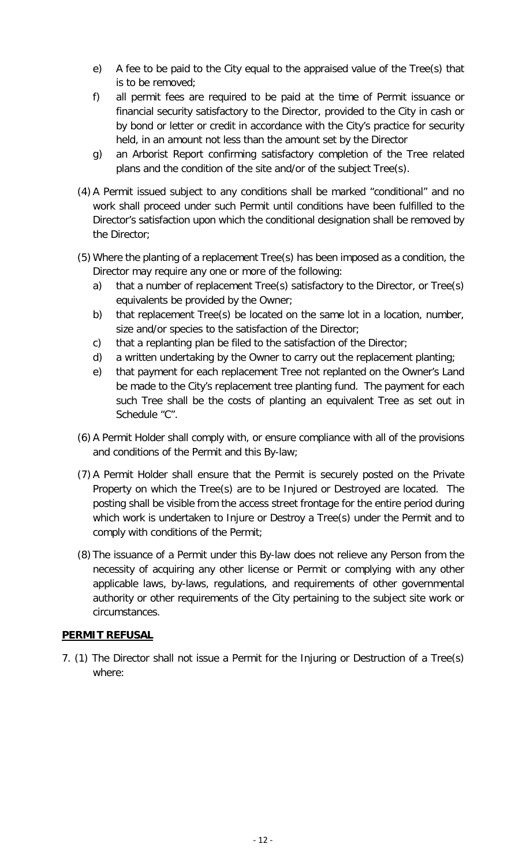- e) A fee to be paid to the City equal to the appraised value of the Tree(s) that is to be removed;
- f) all permit fees are required to be paid at the time of Permit issuance or financial security satisfactory to the Director, provided to the City in cash or by bond or letter or credit in accordance with the City's practice for security held, in an amount not less than the amount set by the Director
- g) an Arborist Report confirming satisfactory completion of the Tree related plans and the condition of the site and/or of the subject Tree(s).
- (4) A Permit issued subject to any conditions shall be marked "conditional" and no work shall proceed under such Permit until conditions have been fulfilled to the Director's satisfaction upon which the conditional designation shall be removed by the Director;
- (5) Where the planting of a replacement Tree(s) has been imposed as a condition, the Director may require any one or more of the following:
	- a) that a number of replacement Tree(s) satisfactory to the Director, or Tree(s) equivalents be provided by the Owner;
	- b) that replacement Tree(s) be located on the same lot in a location, number, size and/or species to the satisfaction of the Director;
	- c) that a replanting plan be filed to the satisfaction of the Director;
	- d) a written undertaking by the Owner to carry out the replacement planting;
	- e) that payment for each replacement Tree not replanted on the Owner's Land be made to the City's replacement tree planting fund. The payment for each such Tree shall be the costs of planting an equivalent Tree as set out in Schedule "C".
- (6) A Permit Holder shall comply with, or ensure compliance with all of the provisions and conditions of the Permit and this By-law;
- (7) A Permit Holder shall ensure that the Permit is securely posted on the Private Property on which the Tree(s) are to be Injured or Destroyed are located. The posting shall be visible from the access street frontage for the entire period during which work is undertaken to Injure or Destroy a Tree(s) under the Permit and to comply with conditions of the Permit;
- (8) The issuance of a Permit under this By-law does not relieve any Person from the necessity of acquiring any other license or Permit or complying with any other applicable laws, by-laws, regulations, and requirements of other governmental authority or other requirements of the City pertaining to the subject site work or circumstances.

#### **PERMIT REFUSAL**

7. (1) The Director shall not issue a Permit for the Injuring or Destruction of a Tree(s) where: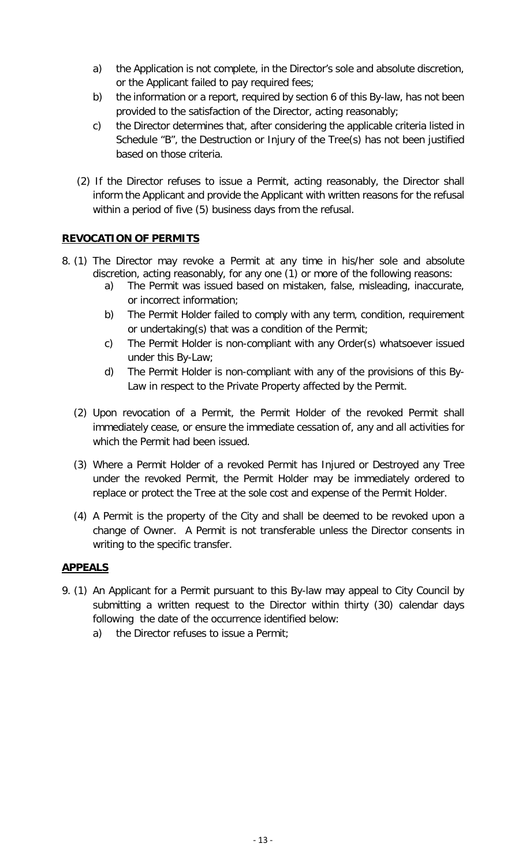- a) the Application is not complete, in the Director's sole and absolute discretion, or the Applicant failed to pay required fees;
- b) the information or a report, required by section 6 of this By-law, has not been provided to the satisfaction of the Director, acting reasonably;
- c) the Director determines that, after considering the applicable criteria listed in Schedule "B", the Destruction or Injury of the Tree(s) has not been justified based on those criteria.
- (2) If the Director refuses to issue a Permit, acting reasonably, the Director shall inform the Applicant and provide the Applicant with written reasons for the refusal within a period of five (5) business days from the refusal.

#### **REVOCATION OF PERMITS**

- 8. (1) The Director may revoke a Permit at any time in his/her sole and absolute discretion, acting reasonably, for any one (1) or more of the following reasons:
	- a) The Permit was issued based on mistaken, false, misleading, inaccurate, or incorrect information;
	- b) The Permit Holder failed to comply with any term, condition, requirement or undertaking(s) that was a condition of the Permit;
	- c) The Permit Holder is non-compliant with any Order(s) whatsoever issued under this By-Law;
	- d) The Permit Holder is non-compliant with any of the provisions of this By-Law in respect to the Private Property affected by the Permit.
	- (2) Upon revocation of a Permit, the Permit Holder of the revoked Permit shall immediately cease, or ensure the immediate cessation of, any and all activities for which the Permit had been issued.
	- (3) Where a Permit Holder of a revoked Permit has Injured or Destroyed any Tree under the revoked Permit, the Permit Holder may be immediately ordered to replace or protect the Tree at the sole cost and expense of the Permit Holder.
	- (4) A Permit is the property of the City and shall be deemed to be revoked upon a change of Owner. A Permit is not transferable unless the Director consents in writing to the specific transfer.

#### **APPEALS**

- 9. (1) An Applicant for a Permit pursuant to this By-law may appeal to City Council by submitting a written request to the Director within thirty (30) calendar days following the date of the occurrence identified below:
	- a) the Director refuses to issue a Permit;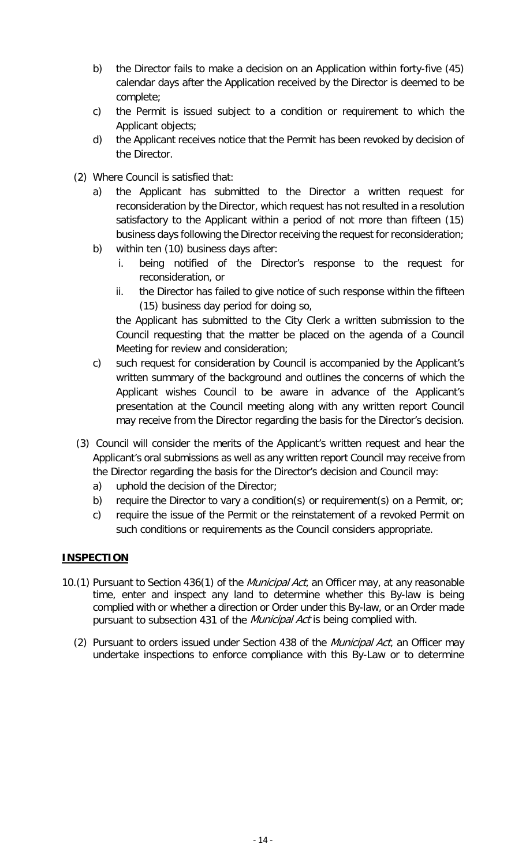- b) the Director fails to make a decision on an Application within forty-five (45) calendar days after the Application received by the Director is deemed to be complete;
- c) the Permit is issued subject to a condition or requirement to which the Applicant objects;
- d) the Applicant receives notice that the Permit has been revoked by decision of the Director.
- (2) Where Council is satisfied that:
	- a) the Applicant has submitted to the Director a written request for reconsideration by the Director, which request has not resulted in a resolution satisfactory to the Applicant within a period of not more than fifteen (15) business days following the Director receiving the request for reconsideration;
	- b) within ten (10) business days after:
		- i. being notified of the Director's response to the request for reconsideration, or
		- ii. the Director has failed to give notice of such response within the fifteen (15) business day period for doing so,

the Applicant has submitted to the City Clerk a written submission to the Council requesting that the matter be placed on the agenda of a Council Meeting for review and consideration;

- c) such request for consideration by Council is accompanied by the Applicant's written summary of the background and outlines the concerns of which the Applicant wishes Council to be aware in advance of the Applicant's presentation at the Council meeting along with any written report Council may receive from the Director regarding the basis for the Director's decision.
- (3) Council will consider the merits of the Applicant's written request and hear the Applicant's oral submissions as well as any written report Council may receive from the Director regarding the basis for the Director's decision and Council may:
	- a) uphold the decision of the Director;
	- b) require the Director to vary a condition(s) or requirement(s) on a Permit, or;
	- c) require the issue of the Permit or the reinstatement of a revoked Permit on such conditions or requirements as the Council considers appropriate.

#### **INSPECTION**

- 10.(1) Pursuant to Section 436(1) of the *Municipal Act*, an Officer may, at any reasonable time, enter and inspect any land to determine whether this By-law is being complied with or whether a direction or Order under this By-law, or an Order made pursuant to subsection 431 of the *Municipal Act* is being complied with.
	- (2) Pursuant to orders issued under Section 438 of the *Municipal Act*, an Officer may undertake inspections to enforce compliance with this By-Law or to determine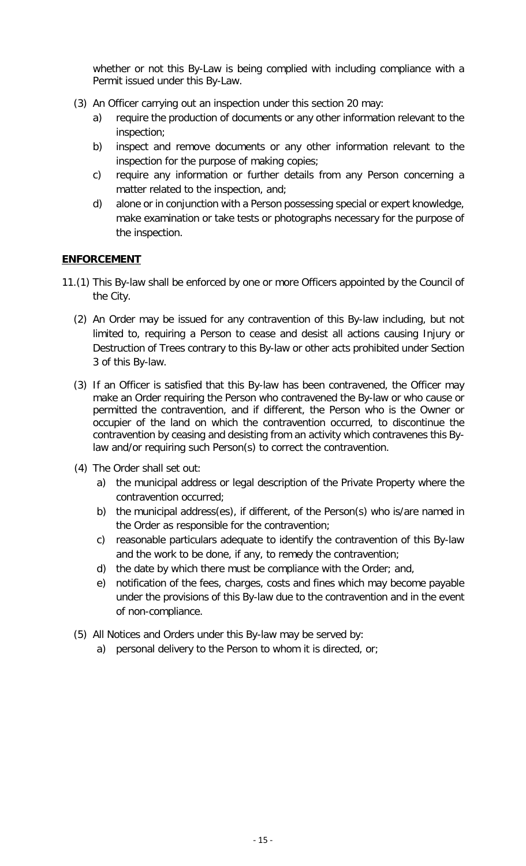whether or not this By-Law is being complied with including compliance with a Permit issued under this By-Law.

- (3) An Officer carrying out an inspection under this section 20 may:
	- a) require the production of documents or any other information relevant to the inspection;
	- b) inspect and remove documents or any other information relevant to the inspection for the purpose of making copies;
	- c) require any information or further details from any Person concerning a matter related to the inspection, and;
	- d) alone or in conjunction with a Person possessing special or expert knowledge, make examination or take tests or photographs necessary for the purpose of the inspection.

#### **ENFORCEMENT**

- 11.(1) This By-law shall be enforced by one or more Officers appointed by the Council of the City.
	- (2) An Order may be issued for any contravention of this By-law including, but not limited to, requiring a Person to cease and desist all actions causing Injury or Destruction of Trees contrary to this By-law or other acts prohibited under Section 3 of this By-law.
	- (3) If an Officer is satisfied that this By-law has been contravened, the Officer may make an Order requiring the Person who contravened the By-law or who cause or permitted the contravention, and if different, the Person who is the Owner or occupier of the land on which the contravention occurred, to discontinue the contravention by ceasing and desisting from an activity which contravenes this Bylaw and/or requiring such Person(s) to correct the contravention.
	- (4) The Order shall set out:
		- a) the municipal address or legal description of the Private Property where the contravention occurred;
		- b) the municipal address(es), if different, of the Person(s) who is/are named in the Order as responsible for the contravention;
		- c) reasonable particulars adequate to identify the contravention of this By-law and the work to be done, if any, to remedy the contravention;
		- d) the date by which there must be compliance with the Order; and,
		- e) notification of the fees, charges, costs and fines which may become payable under the provisions of this By-law due to the contravention and in the event of non-compliance.
	- (5) All Notices and Orders under this By-law may be served by:
		- a) personal delivery to the Person to whom it is directed, or;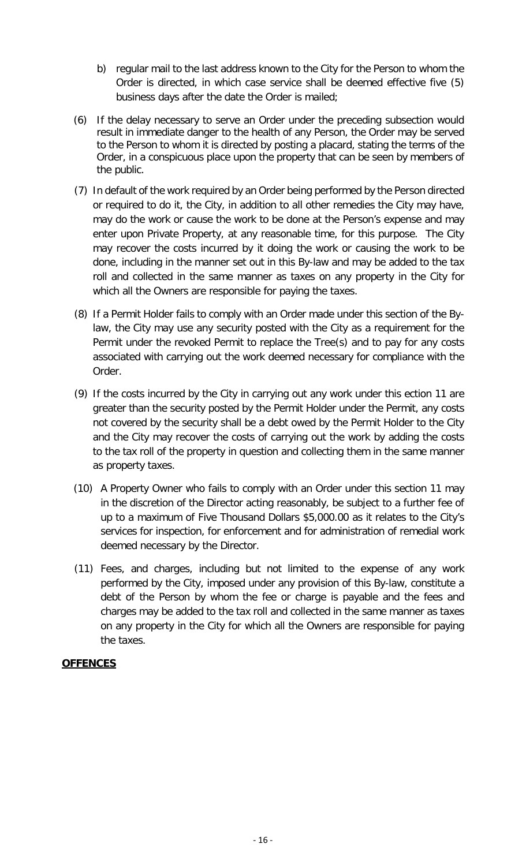- b) regular mail to the last address known to the City for the Person to whom the Order is directed, in which case service shall be deemed effective five (5) business days after the date the Order is mailed;
- (6) If the delay necessary to serve an Order under the preceding subsection would result in immediate danger to the health of any Person, the Order may be served to the Person to whom it is directed by posting a placard, stating the terms of the Order, in a conspicuous place upon the property that can be seen by members of the public.
- (7) In default of the work required by an Order being performed by the Person directed or required to do it, the City, in addition to all other remedies the City may have, may do the work or cause the work to be done at the Person's expense and may enter upon Private Property, at any reasonable time, for this purpose. The City may recover the costs incurred by it doing the work or causing the work to be done, including in the manner set out in this By-law and may be added to the tax roll and collected in the same manner as taxes on any property in the City for which all the Owners are responsible for paying the taxes.
- (8) If a Permit Holder fails to comply with an Order made under this section of the Bylaw, the City may use any security posted with the City as a requirement for the Permit under the revoked Permit to replace the Tree(s) and to pay for any costs associated with carrying out the work deemed necessary for compliance with the Order.
- (9) If the costs incurred by the City in carrying out any work under this ection 11 are greater than the security posted by the Permit Holder under the Permit, any costs not covered by the security shall be a debt owed by the Permit Holder to the City and the City may recover the costs of carrying out the work by adding the costs to the tax roll of the property in question and collecting them in the same manner as property taxes.
- (10) A Property Owner who fails to comply with an Order under this section 11 may in the discretion of the Director acting reasonably, be subject to a further fee of up to a maximum of Five Thousand Dollars \$5,000.00 as it relates to the City's services for inspection, for enforcement and for administration of remedial work deemed necessary by the Director.
- (11) Fees, and charges, including but not limited to the expense of any work performed by the City, imposed under any provision of this By-law, constitute a debt of the Person by whom the fee or charge is payable and the fees and charges may be added to the tax roll and collected in the same manner as taxes on any property in the City for which all the Owners are responsible for paying the taxes.

#### **OFFENCES**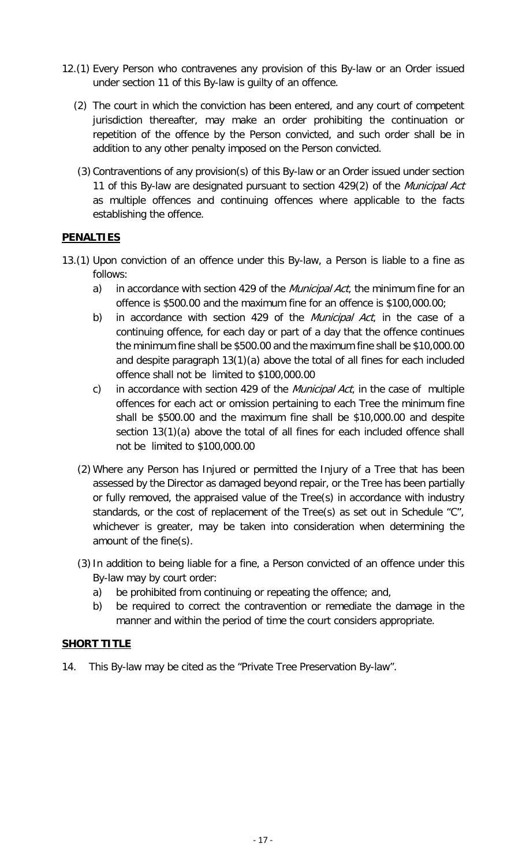- 12.(1) Every Person who contravenes any provision of this By-law or an Order issued under section 11 of this By-law is guilty of an offence.
	- (2) The court in which the conviction has been entered, and any court of competent jurisdiction thereafter, may make an order prohibiting the continuation or repetition of the offence by the Person convicted, and such order shall be in addition to any other penalty imposed on the Person convicted.
	- (3) Contraventions of any provision(s) of this By-law or an Order issued under section 11 of this By-law are designated pursuant to section 429(2) of the Municipal Act as multiple offences and continuing offences where applicable to the facts establishing the offence.

#### **PENALTIES**

- 13.(1) Upon conviction of an offence under this By-law, a Person is liable to a fine as follows:
	- a) in accordance with section 429 of the *Municipal Act*, the minimum fine for an offence is \$500.00 and the maximum fine for an offence is \$100,000.00;
	- b) in accordance with section 429 of the *Municipal Act*, in the case of a continuing offence, for each day or part of a day that the offence continues the minimum fine shall be \$500.00 and the maximum fine shall be \$10,000.00 and despite paragraph 13(1)(a) above the total of all fines for each included offence shall not be limited to \$100,000.00
	- c) in accordance with section 429 of the *Municipal Act*, in the case of multiple offences for each act or omission pertaining to each Tree the minimum fine shall be \$500.00 and the maximum fine shall be \$10,000.00 and despite section 13(1)(a) above the total of all fines for each included offence shall not be limited to \$100,000.00
	- (2) Where any Person has Injured or permitted the Injury of a Tree that has been assessed by the Director as damaged beyond repair, or the Tree has been partially or fully removed, the appraised value of the Tree(s) in accordance with industry standards, or the cost of replacement of the Tree(s) as set out in Schedule "C", whichever is greater, may be taken into consideration when determining the amount of the fine(s).
	- (3)In addition to being liable for a fine, a Person convicted of an offence under this By-law may by court order:
		- a) be prohibited from continuing or repeating the offence; and,
		- b) be required to correct the contravention or remediate the damage in the manner and within the period of time the court considers appropriate.

#### **SHORT TITLE**

14. This By-law may be cited as the "Private Tree Preservation By-law".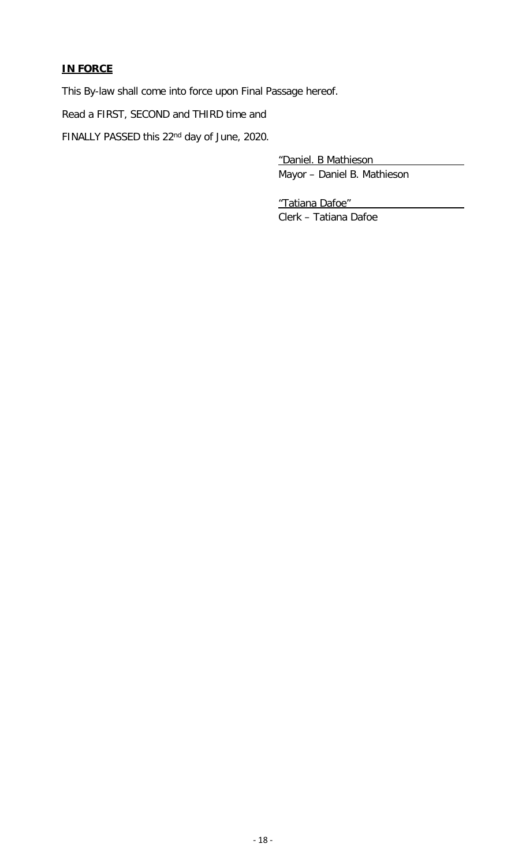### **IN FORCE**

This By-law shall come into force upon Final Passage hereof.

Read a FIRST, SECOND and THIRD time and

FINALLY PASSED this 22nd day of June, 2020.

"Daniel. B Mathieson Mayor – Daniel B. Mathieson

"Tatiana Dafoe" Clerk – Tatiana Dafoe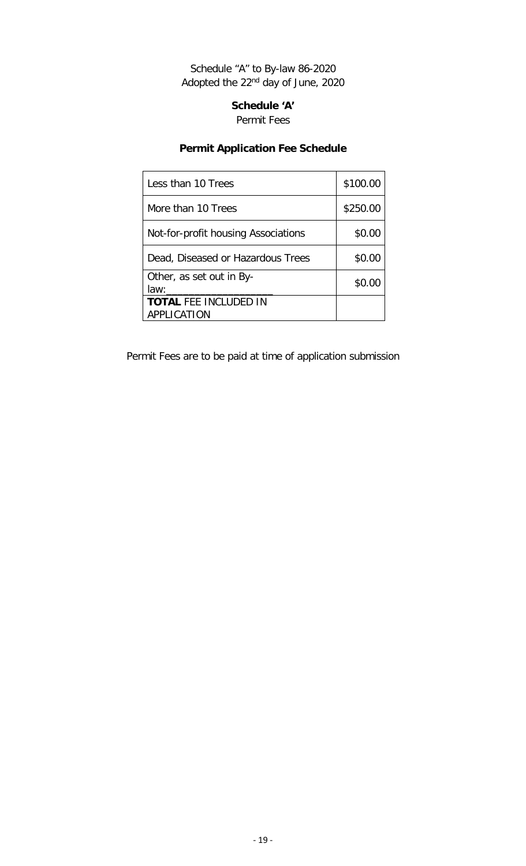Schedule "A" to By-law 86-2020 Adopted the 22nd day of June, 2020

> **Schedule 'A'** Permit Fees

# **Permit Application Fee Schedule**

| \$100.00 |
|----------|
| \$250.00 |
| \$0.00   |
| \$0.00   |
| \$0.00   |
|          |
|          |

Permit Fees are to be paid at time of application submission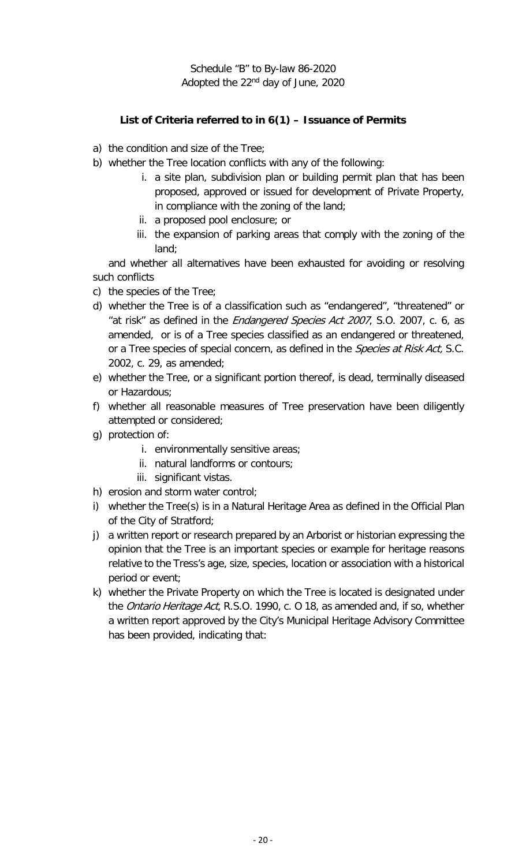Schedule "B" to By-law 86-2020 Adopted the 22nd day of June, 2020

## **List of Criteria referred to in 6(1) – Issuance of Permits**

- a) the condition and size of the Tree;
- b) whether the Tree location conflicts with any of the following:
	- i. a site plan, subdivision plan or building permit plan that has been proposed, approved or issued for development of Private Property, in compliance with the zoning of the land;
	- ii. a proposed pool enclosure; or
	- iii. the expansion of parking areas that comply with the zoning of the land;

and whether all alternatives have been exhausted for avoiding or resolving such conflicts

- c) the species of the Tree;
- d) whether the Tree is of a classification such as "endangered", "threatened" or "at risk" as defined in the *Endangered Species Act 2007*, S.O. 2007, c. 6, as amended, or is of a Tree species classified as an endangered or threatened, or a Tree species of special concern, as defined in the *Species at Risk Act*, S.C. 2002, c. 29, as amended;
- e) whether the Tree, or a significant portion thereof, is dead, terminally diseased or Hazardous;
- f) whether all reasonable measures of Tree preservation have been diligently attempted or considered;
- g) protection of:
	- i. environmentally sensitive areas;
	- ii. natural landforms or contours;
	- iii. significant vistas.
- h) erosion and storm water control;
- i) whether the Tree(s) is in a Natural Heritage Area as defined in the Official Plan of the City of Stratford;
- j) a written report or research prepared by an Arborist or historian expressing the opinion that the Tree is an important species or example for heritage reasons relative to the Tress's age, size, species, location or association with a historical period or event;
- k) whether the Private Property on which the Tree is located is designated under the *Ontario Heritage Act*, R.S.O. 1990, c. O 18, as amended and, if so, whether a written report approved by the City's Municipal Heritage Advisory Committee has been provided, indicating that: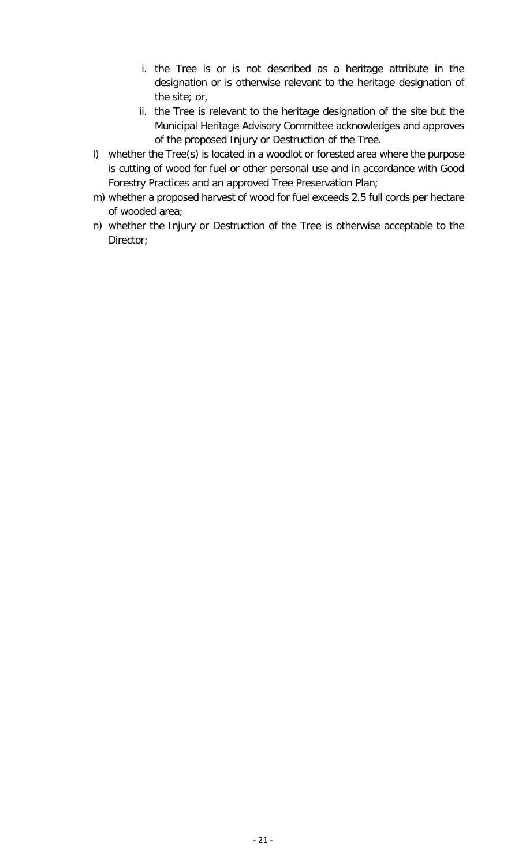- i. the Tree is or is not described as a heritage attribute in the designation or is otherwise relevant to the heritage designation of the site; or,
- ii. the Tree is relevant to the heritage designation of the site but the Municipal Heritage Advisory Committee acknowledges and approves of the proposed Injury or Destruction of the Tree.
- l) whether the Tree(s) is located in a woodlot or forested area where the purpose is cutting of wood for fuel or other personal use and in accordance with Good Forestry Practices and an approved Tree Preservation Plan;
- m) whether a proposed harvest of wood for fuel exceeds 2.5 full cords per hectare of wooded area;
- n) whether the Injury or Destruction of the Tree is otherwise acceptable to the Director;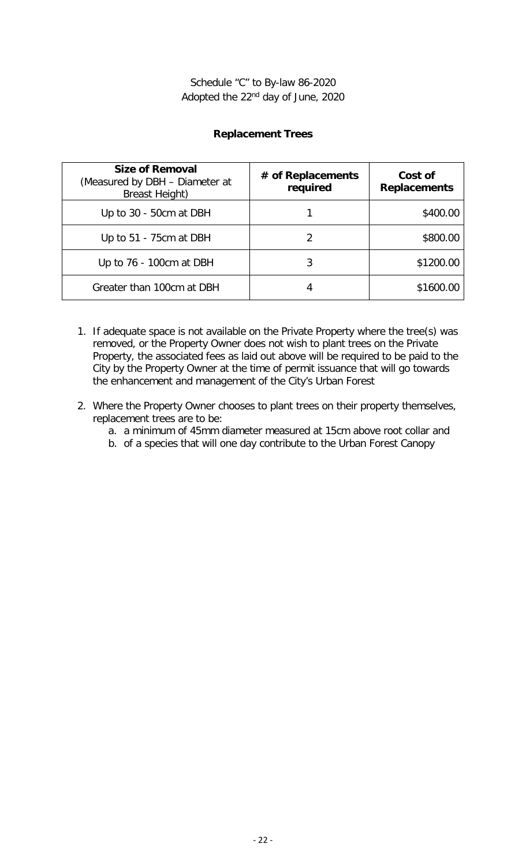#### **Replacement Trees**

| <b>Size of Removal</b><br>(Measured by DBH - Diameter at<br><b>Breast Height)</b> | # of Replacements<br>required | Cost of<br><b>Replacements</b> |
|-----------------------------------------------------------------------------------|-------------------------------|--------------------------------|
| Up to 30 - 50cm at DBH                                                            |                               | \$400.00                       |
| Up to 51 - 75cm at DBH                                                            |                               | \$800.00                       |
| Up to 76 - 100cm at DBH                                                           |                               | \$1200.00                      |
| Greater than 100cm at DBH                                                         |                               | \$1600.00                      |

- 1. If adequate space is not available on the Private Property where the tree(s) was removed, or the Property Owner does not wish to plant trees on the Private Property, the associated fees as laid out above will be required to be paid to the City by the Property Owner at the time of permit issuance that will go towards the enhancement and management of the City's Urban Forest
- 2. Where the Property Owner chooses to plant trees on their property themselves, replacement trees are to be:
	- a. a minimum of 45mm diameter measured at 15cm above root collar and
	- b. of a species that will one day contribute to the Urban Forest Canopy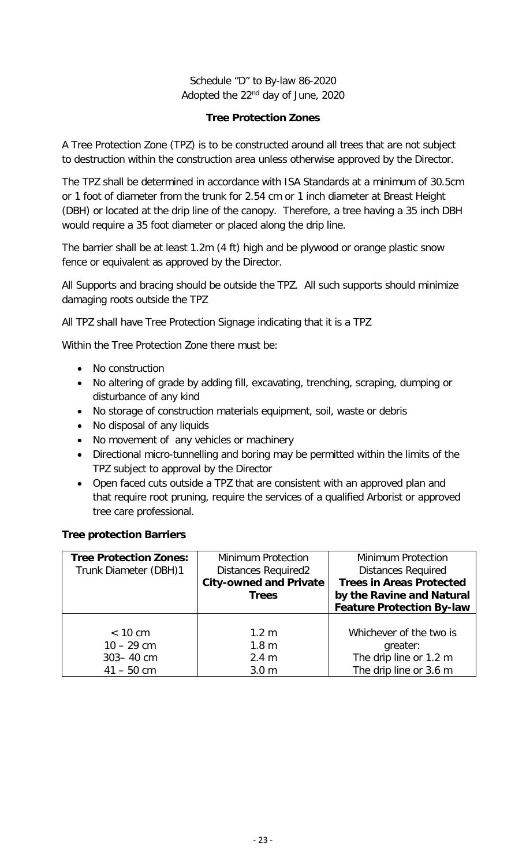## Schedule "D" to By-law 86-2020 Adopted the 22nd day of June, 2020

#### **Tree Protection Zones**

A Tree Protection Zone (TPZ) is to be constructed around all trees that are not subject to destruction within the construction area unless otherwise approved by the Director.

The TPZ shall be determined in accordance with ISA Standards at a minimum of 30.5cm or 1 foot of diameter from the trunk for 2.54 cm or 1 inch diameter at Breast Height (DBH) or located at the drip line of the canopy. Therefore, a tree having a 35 inch DBH would require a 35 foot diameter or placed along the drip line.

The barrier shall be at least 1.2m (4 ft) high and be plywood or orange plastic snow fence or equivalent as approved by the Director.

All Supports and bracing should be outside the TPZ. All such supports should minimize damaging roots outside the TPZ

All TPZ shall have Tree Protection Signage indicating that it is a TPZ

Within the Tree Protection Zone there must be:

- No construction
- No altering of grade by adding fill, excavating, trenching, scraping, dumping or disturbance of any kind
- No storage of construction materials equipment, soil, waste or debris
- No disposal of any liquids
- No movement of any vehicles or machinery
- Directional micro-tunnelling and boring may be permitted within the limits of the TPZ subject to approval by the Director
- Open faced cuts outside a TPZ that are consistent with an approved plan and that require root pruning, require the services of a qualified Arborist or approved tree care professional.

#### **Tree protection Barriers**

| <b>Tree Protection Zones:</b> | <b>Minimum Protection</b>     | <b>Minimum Protection</b>        |
|-------------------------------|-------------------------------|----------------------------------|
| Trunk Diameter (DBH)1         | <b>Distances Required2</b>    | <b>Distances Required</b>        |
|                               | <b>City-owned and Private</b> | <b>Trees in Areas Protected</b>  |
|                               | <b>Trees</b>                  | by the Ravine and Natural        |
|                               |                               | <b>Feature Protection By-law</b> |
|                               |                               |                                  |
| < 10 cm                       | $1.2 \text{ m}$               | Whichever of the two is          |
| $10 - 29$ cm                  | 1.8 <sub>m</sub>              | greater:                         |
| $303 - 40$ cm                 | 2.4 <sub>m</sub>              | The drip line or 1.2 m           |
| $41 - 50$ cm                  | 3.0 <sub>m</sub>              | The drip line or 3.6 m           |